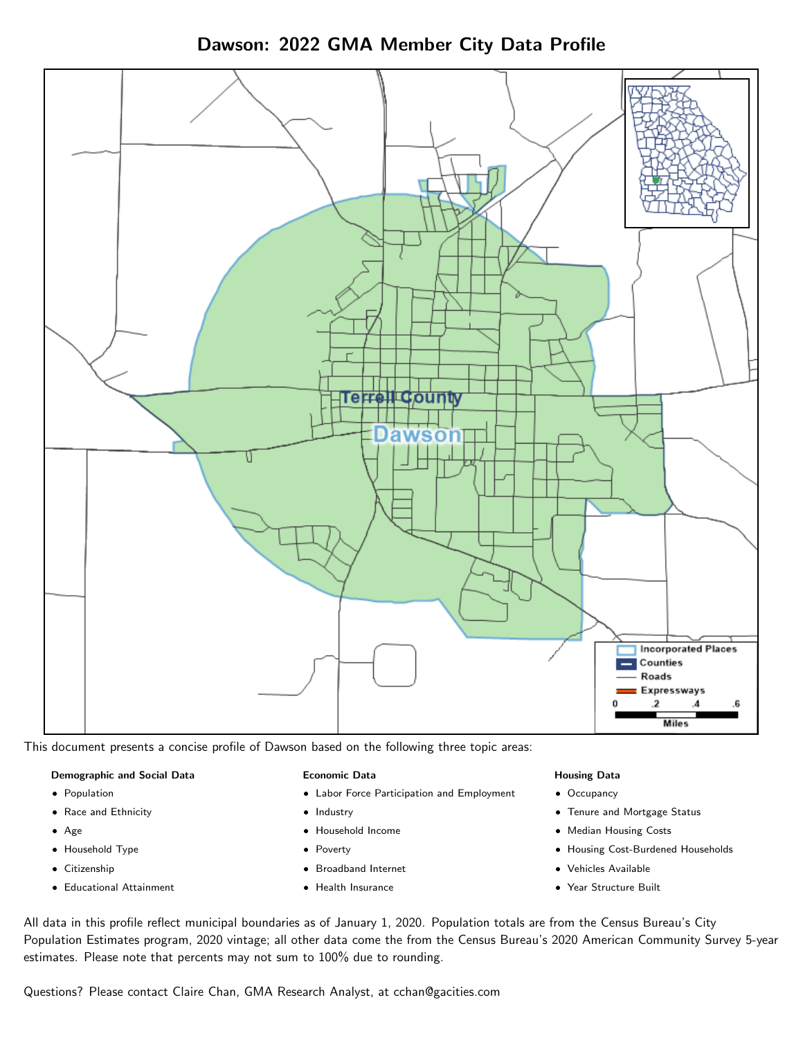Dawson: 2022 GMA Member City Data Profile



This document presents a concise profile of Dawson based on the following three topic areas:

#### Demographic and Social Data

- **•** Population
- Race and Ethnicity
- Age
- Household Type
- **Citizenship**
- Educational Attainment

#### Economic Data

- Labor Force Participation and Employment
- Industry
- Household Income
- Poverty
- Broadband Internet
- Health Insurance

#### Housing Data

- Occupancy
- Tenure and Mortgage Status
- Median Housing Costs
- Housing Cost-Burdened Households
- Vehicles Available
- Year Structure Built

All data in this profile reflect municipal boundaries as of January 1, 2020. Population totals are from the Census Bureau's City Population Estimates program, 2020 vintage; all other data come the from the Census Bureau's 2020 American Community Survey 5-year estimates. Please note that percents may not sum to 100% due to rounding.

Questions? Please contact Claire Chan, GMA Research Analyst, at [cchan@gacities.com.](mailto:cchan@gacities.com)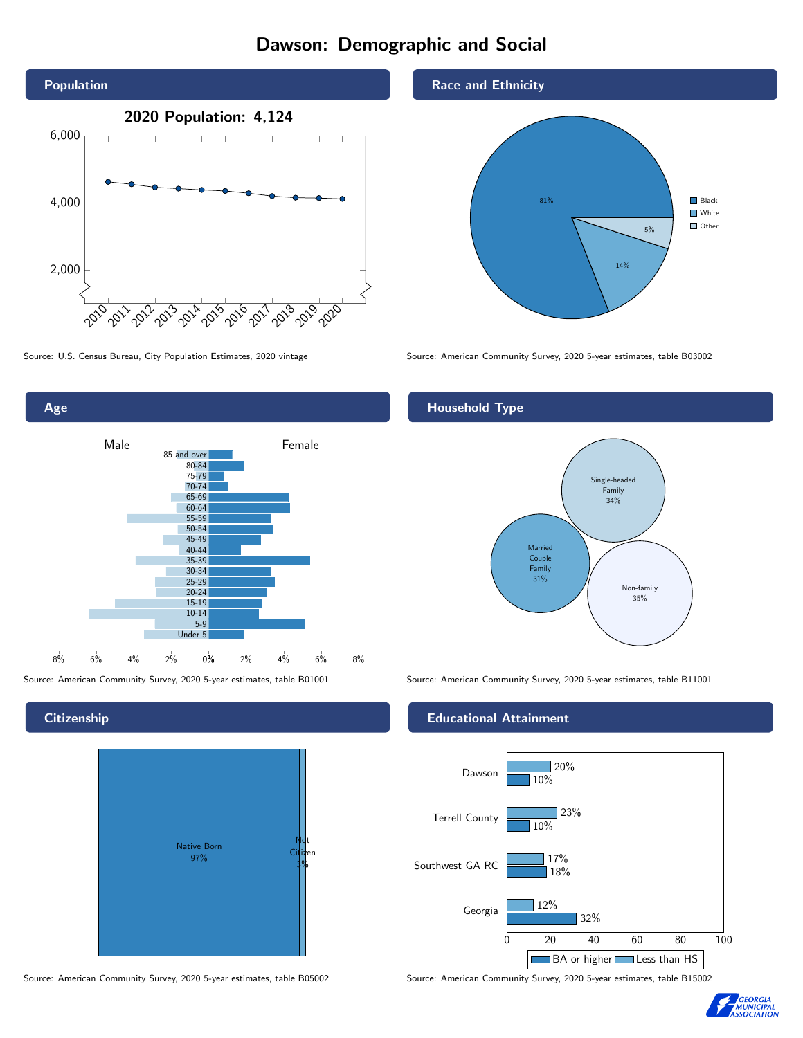# Dawson: Demographic and Social



Age 0% 2% 4% 6% 8% Male **Female** 8% 6% 4% 2% 85 and over 80-84 75-79 70-74 65-69 60-64 55-59 50-54 45-49 40-44 35-39 30-34 25-29 20-24 15-19  $10-14$ 5-9 Under 5

**Citizenship** 



Source: American Community Survey, 2020 5-year estimates, table B05002 Source: American Community Survey, 2020 5-year estimates, table B15002





Source: U.S. Census Bureau, City Population Estimates, 2020 vintage Source: American Community Survey, 2020 5-year estimates, table B03002

## Household Type



Source: American Community Survey, 2020 5-year estimates, table B01001 Source: American Community Survey, 2020 5-year estimates, table B11001

#### Educational Attainment



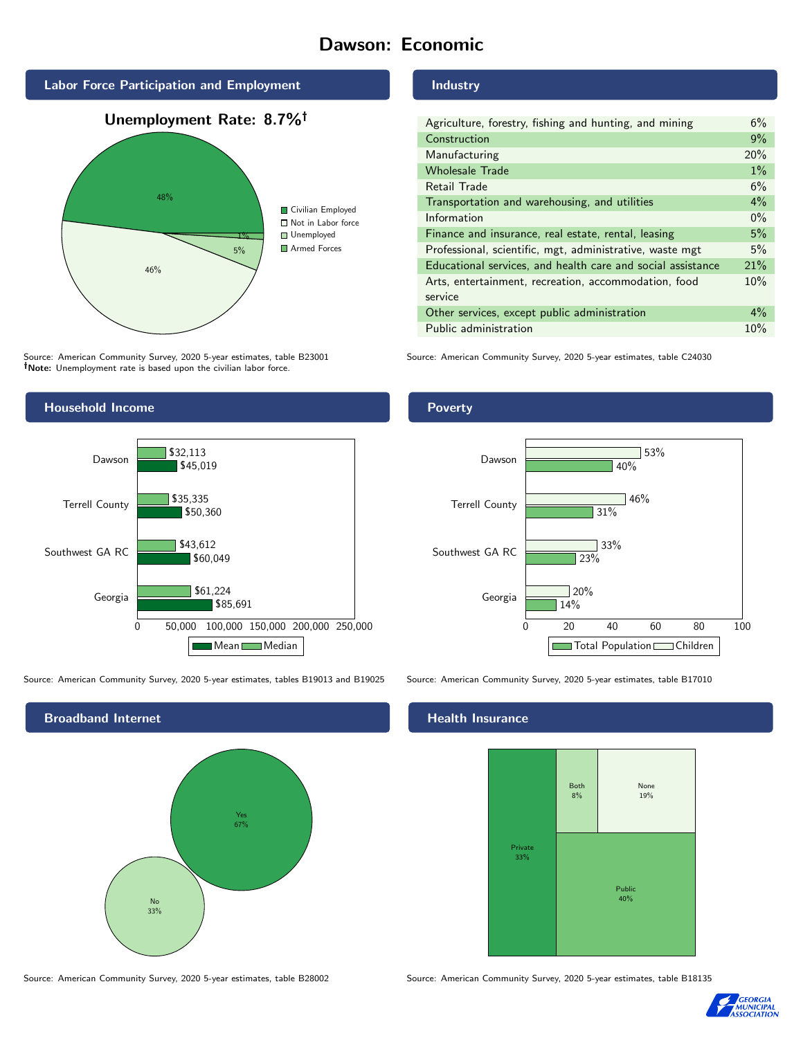# Dawson: Economic



Source: American Community Survey, 2020 5-year estimates, table B23001 Note: Unemployment rate is based upon the civilian labor force.

## Industry

| Agriculture, forestry, fishing and hunting, and mining      | 6%    |
|-------------------------------------------------------------|-------|
| Construction                                                | 9%    |
| Manufacturing                                               | 20%   |
| <b>Wholesale Trade</b>                                      | $1\%$ |
| Retail Trade                                                | 6%    |
| Transportation and warehousing, and utilities               | $4\%$ |
| Information                                                 | $0\%$ |
| Finance and insurance, real estate, rental, leasing         | 5%    |
| Professional, scientific, mgt, administrative, waste mgt    | 5%    |
| Educational services, and health care and social assistance | 21%   |
| Arts, entertainment, recreation, accommodation, food        | 10%   |
| service                                                     |       |
| Other services, except public administration                | $4\%$ |
| Public administration                                       | 10%   |

Source: American Community Survey, 2020 5-year estimates, table C24030



Source: American Community Survey, 2020 5-year estimates, tables B19013 and B19025 Source: American Community Survey, 2020 5-year estimates, table B17010



### Health Insurance



Source: American Community Survey, 2020 5-year estimates, table B28002 Source: American Community Survey, 2020 5-year estimates, table B18135



### Poverty